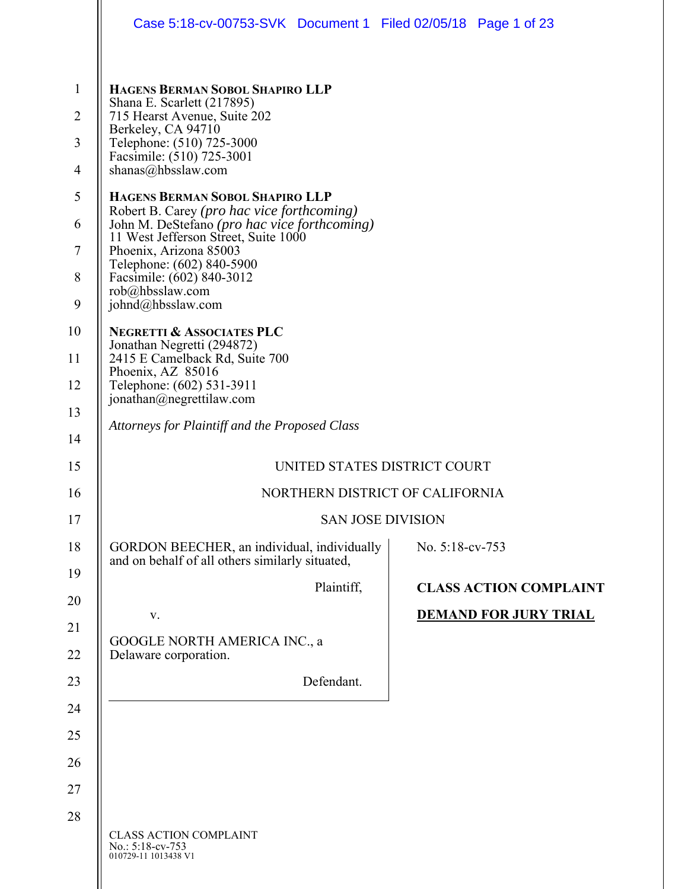|                     | Case 5:18-cv-00753-SVK Document 1 Filed 02/05/18 Page 1 of 23                                                  |                               |  |  |
|---------------------|----------------------------------------------------------------------------------------------------------------|-------------------------------|--|--|
|                     |                                                                                                                |                               |  |  |
| $\mathbf{1}$        | HAGENS BERMAN SOBOL SHAPIRO LLP<br>Shana E. Scarlett (217895)                                                  |                               |  |  |
| $\overline{2}$      | 715 Hearst Avenue, Suite 202<br>Berkeley, CA 94710                                                             |                               |  |  |
| 3                   | Telephone: (510) 725-3000<br>Facsimile: (510) 725-3001                                                         |                               |  |  |
| $\overline{4}$<br>5 | shanas@hbsslaw.com                                                                                             |                               |  |  |
| 6                   | HAGENS BERMAN SOBOL SHAPIRO LLP<br>Robert B. Carey (pro hac vice forthcoming)                                  |                               |  |  |
| 7                   | John M. DeStefano (pro hac vice forthcoming)<br>11 West Jefferson Street, Suite 1000<br>Phoenix, Arizona 85003 |                               |  |  |
| 8                   | Telephone: (602) 840-5900<br>Facsimile: (602) 840-3012                                                         |                               |  |  |
| 9                   | rob@hbsslaw.com<br>johnd@hbsslaw.com                                                                           |                               |  |  |
| 10                  | <b>NEGRETTI &amp; ASSOCIATES PLC</b>                                                                           |                               |  |  |
| 11                  | Jonathan Negretti (294872)<br>2415 E Camelback Rd, Suite 700                                                   |                               |  |  |
| 12                  | Phoenix, AZ 85016<br>Telephone: (602) 531-3911<br>jonathan@negrettilaw.com                                     |                               |  |  |
| 13                  | Attorneys for Plaintiff and the Proposed Class                                                                 |                               |  |  |
| 14                  |                                                                                                                |                               |  |  |
| 15                  | UNITED STATES DISTRICT COURT                                                                                   |                               |  |  |
| 16                  | NORTHERN DISTRICT OF CALIFORNIA                                                                                |                               |  |  |
| 17                  | <b>SAN JOSE DIVISION</b>                                                                                       |                               |  |  |
| 18<br>19            | GORDON BEECHER, an individual, individually<br>and on behalf of all others similarly situated,                 | No. 5:18-cv-753               |  |  |
| 20                  | Plaintiff,                                                                                                     | <b>CLASS ACTION COMPLAINT</b> |  |  |
| 21                  | V.                                                                                                             | <b>DEMAND FOR JURY TRIAL</b>  |  |  |
| 22                  | <b>GOOGLE NORTH AMERICA INC., a</b><br>Delaware corporation.                                                   |                               |  |  |
| 23                  | Defendant.                                                                                                     |                               |  |  |
| 24                  |                                                                                                                |                               |  |  |
| 25                  |                                                                                                                |                               |  |  |
| 26                  |                                                                                                                |                               |  |  |
| 27                  |                                                                                                                |                               |  |  |
| 28                  |                                                                                                                |                               |  |  |
|                     | <b>CLASS ACTION COMPLAINT</b><br>No.: 5:18-cv-753<br>010729-11 1013438 V1                                      |                               |  |  |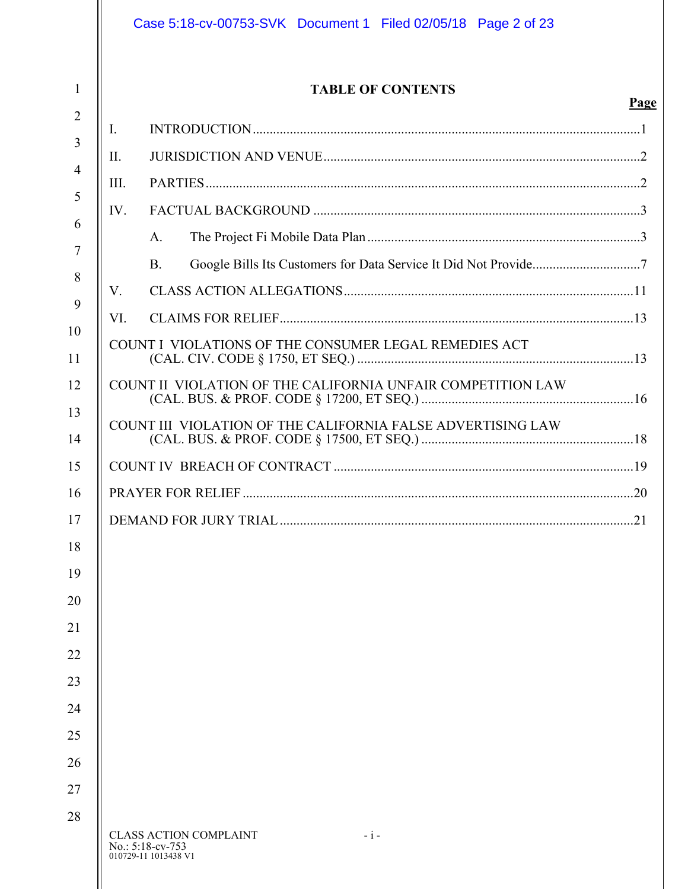| <b>TABLE OF CONTENTS</b>                                    |  |
|-------------------------------------------------------------|--|
| Ι.                                                          |  |
| П.                                                          |  |
| III.                                                        |  |
| IV.                                                         |  |
| A.                                                          |  |
| <b>B.</b>                                                   |  |
| V.                                                          |  |
| VI.                                                         |  |
| COUNT I VIOLATIONS OF THE CONSUMER LEGAL REMEDIES ACT       |  |
| COUNT II VIOLATION OF THE CALIFORNIA UNFAIR COMPETITION LAW |  |
| COUNT III VIOLATION OF THE CALIFORNIA FALSE ADVERTISING LAW |  |
|                                                             |  |
|                                                             |  |
|                                                             |  |
|                                                             |  |
|                                                             |  |
|                                                             |  |
|                                                             |  |
|                                                             |  |
|                                                             |  |
|                                                             |  |
|                                                             |  |
|                                                             |  |
|                                                             |  |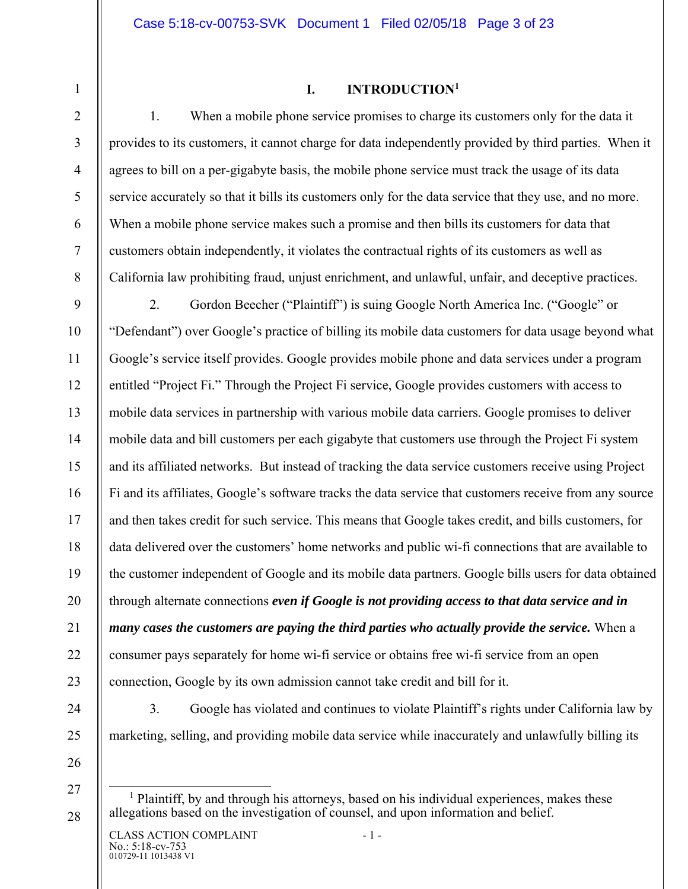### **I. INTRODUCTION1**

1. When a mobile phone service promises to charge its customers only for the data it provides to its customers, it cannot charge for data independently provided by third parties. When it agrees to bill on a per-gigabyte basis, the mobile phone service must track the usage of its data service accurately so that it bills its customers only for the data service that they use, and no more. When a mobile phone service makes such a promise and then bills its customers for data that customers obtain independently, it violates the contractual rights of its customers as well as California law prohibiting fraud, unjust enrichment, and unlawful, unfair, and deceptive practices.

9 10 11 12 13 14 15 16 17 18 19 20 21 22 23 2. Gordon Beecher ("Plaintiff") is suing Google North America Inc. ("Google" or "Defendant") over Google's practice of billing its mobile data customers for data usage beyond what Google's service itself provides. Google provides mobile phone and data services under a program entitled "Project Fi." Through the Project Fi service, Google provides customers with access to mobile data services in partnership with various mobile data carriers. Google promises to deliver mobile data and bill customers per each gigabyte that customers use through the Project Fi system and its affiliated networks. But instead of tracking the data service customers receive using Project Fi and its affiliates, Google's software tracks the data service that customers receive from any source and then takes credit for such service. This means that Google takes credit, and bills customers, for data delivered over the customers' home networks and public wi-fi connections that are available to the customer independent of Google and its mobile data partners. Google bills users for data obtained through alternate connections *even if Google is not providing access to that data service and in many cases the customers are paying the third parties who actually provide the service.* When a consumer pays separately for home wi-fi service or obtains free wi-fi service from an open connection, Google by its own admission cannot take credit and bill for it.

24 25

1

2

3

4

5

6

7

8

26

27

28

marketing, selling, and providing mobile data service while inaccurately and unlawfully billing its

3. Google has violated and continues to violate Plaintiff's rights under California law by

 $\frac{1}{1}$  $<sup>1</sup>$  Plaintiff, by and through his attorneys, based on his individual experiences, makes these</sup> allegations based on the investigation of counsel, and upon information and belief.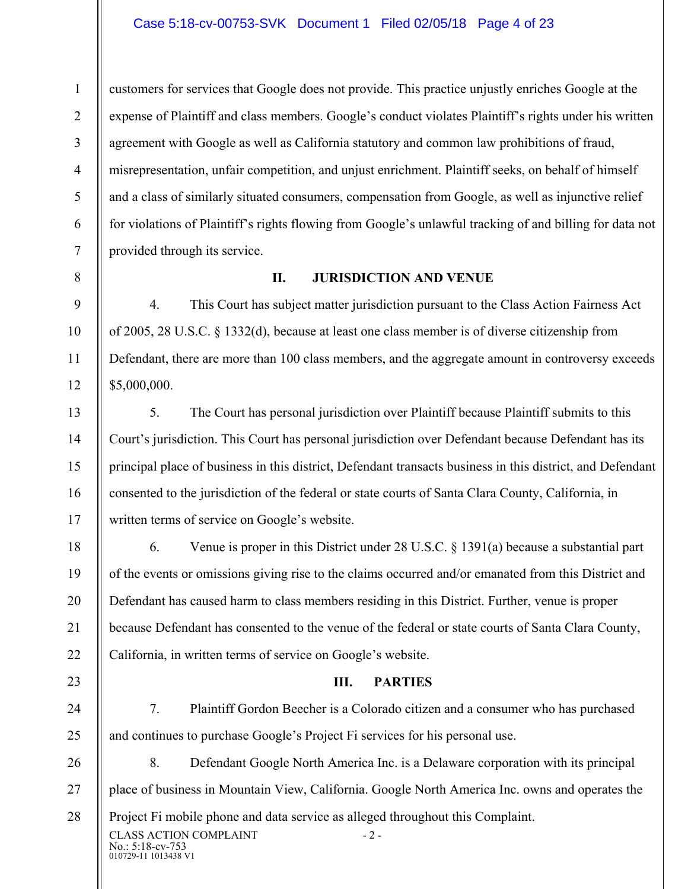#### Case 5:18-cv-00753-SVK Document 1 Filed 02/05/18 Page 4 of 23

customers for services that Google does not provide. This practice unjustly enriches Google at the expense of Plaintiff and class members. Google's conduct violates Plaintiff's rights under his written agreement with Google as well as California statutory and common law prohibitions of fraud, misrepresentation, unfair competition, and unjust enrichment. Plaintiff seeks, on behalf of himself and a class of similarly situated consumers, compensation from Google, as well as injunctive relief for violations of Plaintiff's rights flowing from Google's unlawful tracking of and billing for data not provided through its service.

8

9

10

11

12

13

14

15

16

17

18

19

20

21

22

23

24

25

1

2

3

4

5

6

7

#### **II. JURISDICTION AND VENUE**

4. This Court has subject matter jurisdiction pursuant to the Class Action Fairness Act of 2005, 28 U.S.C. § 1332(d), because at least one class member is of diverse citizenship from Defendant, there are more than 100 class members, and the aggregate amount in controversy exceeds \$5,000,000.

5. The Court has personal jurisdiction over Plaintiff because Plaintiff submits to this Court's jurisdiction. This Court has personal jurisdiction over Defendant because Defendant has its principal place of business in this district, Defendant transacts business in this district, and Defendant consented to the jurisdiction of the federal or state courts of Santa Clara County, California, in written terms of service on Google's website.

6. Venue is proper in this District under 28 U.S.C. § 1391(a) because a substantial part of the events or omissions giving rise to the claims occurred and/or emanated from this District and Defendant has caused harm to class members residing in this District. Further, venue is proper because Defendant has consented to the venue of the federal or state courts of Santa Clara County, California, in written terms of service on Google's website.

#### **III. PARTIES**

7. Plaintiff Gordon Beecher is a Colorado citizen and a consumer who has purchased and continues to purchase Google's Project Fi services for his personal use.

010729-11 1013438 V1 26 27 28 CLASS ACTION COMPLAINT - 2 -No.: 5:18-cv-753 8. Defendant Google North America Inc. is a Delaware corporation with its principal place of business in Mountain View, California. Google North America Inc. owns and operates the Project Fi mobile phone and data service as alleged throughout this Complaint.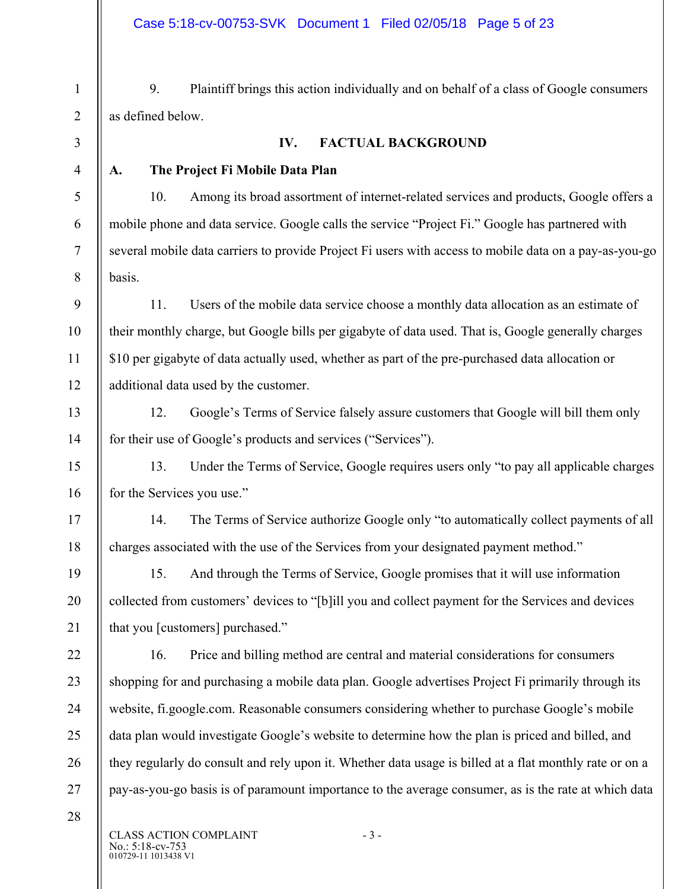9. Plaintiff brings this action individually and on behalf of a class of Google consumers as defined below.

1

2

3

4

5

6

7

8

9

10

11

12

13

14

17

18

19

20

21

22

23

24

25

26

## **IV. FACTUAL BACKGROUND**

## **A. The Project Fi Mobile Data Plan**

10. Among its broad assortment of internet-related services and products, Google offers a mobile phone and data service. Google calls the service "Project Fi." Google has partnered with several mobile data carriers to provide Project Fi users with access to mobile data on a pay-as-you-go basis.

11. Users of the mobile data service choose a monthly data allocation as an estimate of their monthly charge, but Google bills per gigabyte of data used. That is, Google generally charges \$10 per gigabyte of data actually used, whether as part of the pre-purchased data allocation or additional data used by the customer.

12. Google's Terms of Service falsely assure customers that Google will bill them only for their use of Google's products and services ("Services").

15 16 13. Under the Terms of Service, Google requires users only "to pay all applicable charges for the Services you use."

14. The Terms of Service authorize Google only "to automatically collect payments of all charges associated with the use of the Services from your designated payment method."

15. And through the Terms of Service, Google promises that it will use information collected from customers' devices to "[b]ill you and collect payment for the Services and devices that you [customers] purchased."

16. Price and billing method are central and material considerations for consumers shopping for and purchasing a mobile data plan. Google advertises Project Fi primarily through its website, fi.google.com. Reasonable consumers considering whether to purchase Google's mobile data plan would investigate Google's website to determine how the plan is priced and billed, and they regularly do consult and rely upon it. Whether data usage is billed at a flat monthly rate or on a pay-as-you-go basis is of paramount importance to the average consumer, as is the rate at which data

28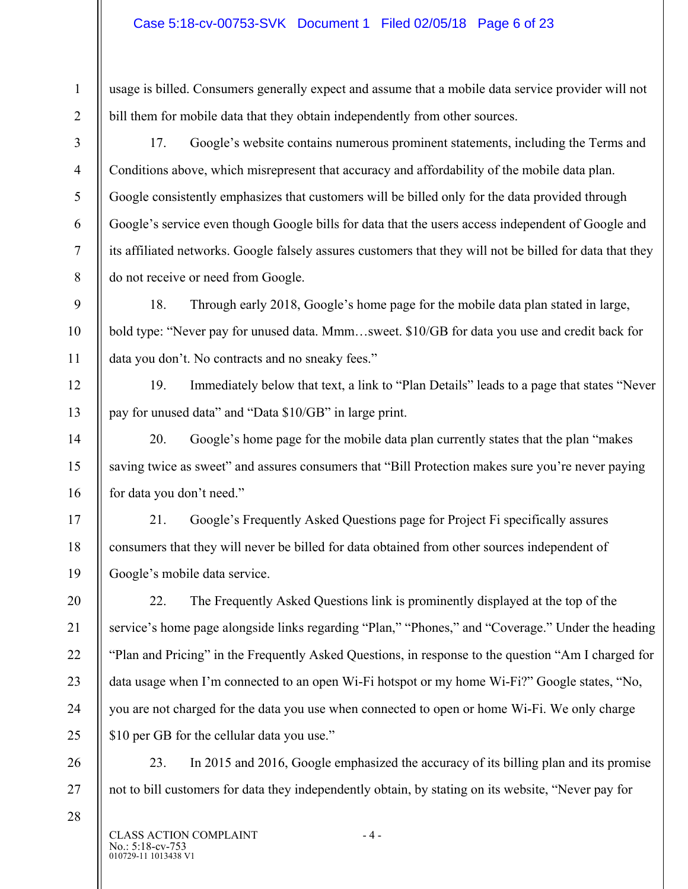usage is billed. Consumers generally expect and assume that a mobile data service provider will not bill them for mobile data that they obtain independently from other sources.

17. Google's website contains numerous prominent statements, including the Terms and Conditions above, which misrepresent that accuracy and affordability of the mobile data plan. Google consistently emphasizes that customers will be billed only for the data provided through Google's service even though Google bills for data that the users access independent of Google and its affiliated networks. Google falsely assures customers that they will not be billed for data that they do not receive or need from Google.

18. Through early 2018, Google's home page for the mobile data plan stated in large, bold type: "Never pay for unused data. Mmm…sweet. \$10/GB for data you use and credit back for data you don't. No contracts and no sneaky fees."

19. Immediately below that text, a link to "Plan Details" leads to a page that states "Never pay for unused data" and "Data \$10/GB" in large print.

20. Google's home page for the mobile data plan currently states that the plan "makes saving twice as sweet" and assures consumers that "Bill Protection makes sure you're never paying for data you don't need."

21. Google's Frequently Asked Questions page for Project Fi specifically assures consumers that they will never be billed for data obtained from other sources independent of Google's mobile data service.

22. The Frequently Asked Questions link is prominently displayed at the top of the service's home page alongside links regarding "Plan," "Phones," and "Coverage." Under the heading "Plan and Pricing" in the Frequently Asked Questions, in response to the question "Am I charged for data usage when I'm connected to an open Wi-Fi hotspot or my home Wi-Fi?" Google states, "No, you are not charged for the data you use when connected to open or home Wi-Fi. We only charge \$10 per GB for the cellular data you use."

26 27 23. In 2015 and 2016, Google emphasized the accuracy of its billing plan and its promise not to bill customers for data they independently obtain, by stating on its website, "Never pay for

010729-11 1013438 V1 CLASS ACTION COMPLAINT - 4 -No.: 5:18-cv-753

28

1

2

3

4

5

6

7

8

9

10

11

12

13

14

15

16

17

18

19

20

21

22

23

24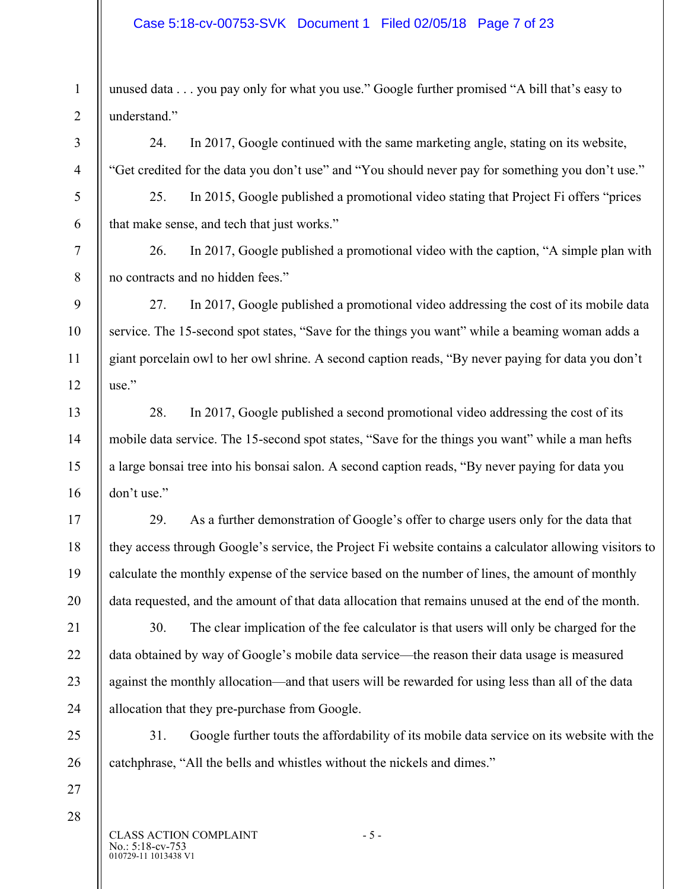#### Case 5:18-cv-00753-SVK Document 1 Filed 02/05/18 Page 7 of 23

1 2 unused data . . . you pay only for what you use." Google further promised "A bill that's easy to understand."

24. In 2017, Google continued with the same marketing angle, stating on its website, "Get credited for the data you don't use" and "You should never pay for something you don't use."

25. In 2015, Google published a promotional video stating that Project Fi offers "prices that make sense, and tech that just works."

26. In 2017, Google published a promotional video with the caption, "A simple plan with no contracts and no hidden fees."

27. In 2017, Google published a promotional video addressing the cost of its mobile data service. The 15-second spot states, "Save for the things you want" while a beaming woman adds a giant porcelain owl to her owl shrine. A second caption reads, "By never paying for data you don't use."

28. In 2017, Google published a second promotional video addressing the cost of its mobile data service. The 15-second spot states, "Save for the things you want" while a man hefts a large bonsai tree into his bonsai salon. A second caption reads, "By never paying for data you don't use."

29. As a further demonstration of Google's offer to charge users only for the data that they access through Google's service, the Project Fi website contains a calculator allowing visitors to calculate the monthly expense of the service based on the number of lines, the amount of monthly data requested, and the amount of that data allocation that remains unused at the end of the month.

30. The clear implication of the fee calculator is that users will only be charged for the data obtained by way of Google's mobile data service—the reason their data usage is measured against the monthly allocation—and that users will be rewarded for using less than all of the data allocation that they pre-purchase from Google.

31. Google further touts the affordability of its mobile data service on its website with the catchphrase, "All the bells and whistles without the nickels and dimes."

27 28

3

4

5

6

7

8

9

10

11

12

13

14

15

16

17

18

19

20

21

22

23

24

25

26

010729-11 1013438 V1 CLASS ACTION COMPLAINT - 5 -No.: 5:18-cv-753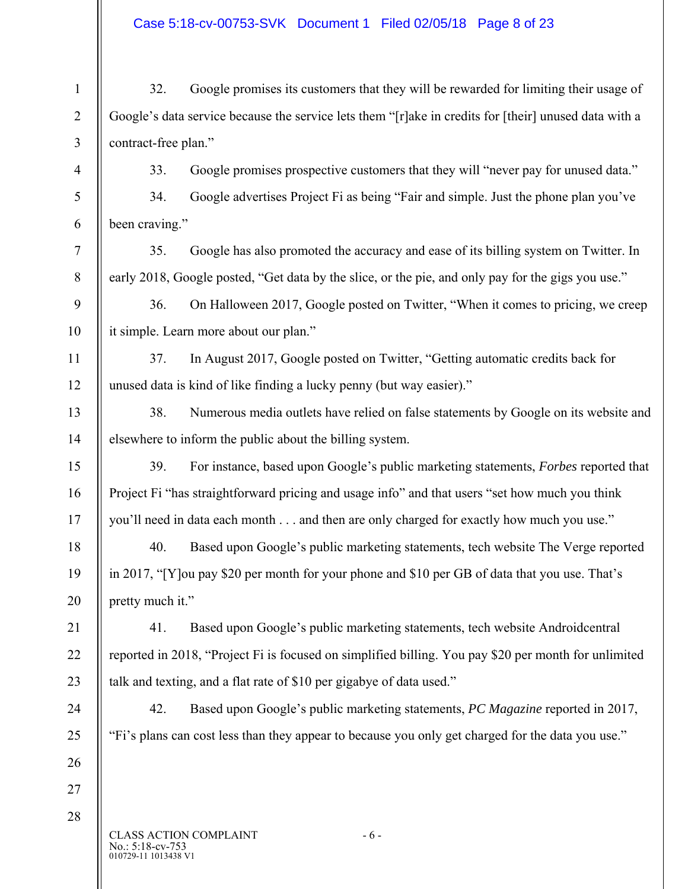# Case 5:18-cv-00753-SVK Document 1 Filed 02/05/18 Page 8 of 23

| $\mathbf{1}$   | 32.                                                                                                   | Google promises its customers that they will be rewarded for limiting their usage of                 |  |
|----------------|-------------------------------------------------------------------------------------------------------|------------------------------------------------------------------------------------------------------|--|
| $\overline{2}$ | Google's data service because the service lets them "[r]ake in credits for [their] unused data with a |                                                                                                      |  |
| $\mathfrak{Z}$ | contract-free plan."                                                                                  |                                                                                                      |  |
| $\overline{4}$ | 33.                                                                                                   | Google promises prospective customers that they will "never pay for unused data."                    |  |
| 5              | 34.                                                                                                   | Google advertises Project Fi as being "Fair and simple. Just the phone plan you've                   |  |
| 6              | been craving."                                                                                        |                                                                                                      |  |
| $\tau$         | 35.                                                                                                   | Google has also promoted the accuracy and ease of its billing system on Twitter. In                  |  |
| 8              |                                                                                                       | early 2018, Google posted, "Get data by the slice, or the pie, and only pay for the gigs you use."   |  |
| 9              | 36.                                                                                                   | On Halloween 2017, Google posted on Twitter, "When it comes to pricing, we creep                     |  |
| 10             |                                                                                                       | it simple. Learn more about our plan."                                                               |  |
| 11             | 37.                                                                                                   | In August 2017, Google posted on Twitter, "Getting automatic credits back for                        |  |
| 12             |                                                                                                       | unused data is kind of like finding a lucky penny (but way easier)."                                 |  |
| 13             | 38.                                                                                                   | Numerous media outlets have relied on false statements by Google on its website and                  |  |
| 14             | elsewhere to inform the public about the billing system.                                              |                                                                                                      |  |
| 15             | 39.                                                                                                   | For instance, based upon Google's public marketing statements, Forbes reported that                  |  |
| 16             | Project Fi "has straightforward pricing and usage info" and that users "set how much you think        |                                                                                                      |  |
| 17             |                                                                                                       | you'll need in data each month and then are only charged for exactly how much you use."              |  |
| 18             | 40.                                                                                                   | Based upon Google's public marketing statements, tech website The Verge reported                     |  |
| 19             | in 2017, "[Y] ou pay \$20 per month for your phone and \$10 per GB of data that you use. That's       |                                                                                                      |  |
| 20             | pretty much it."                                                                                      |                                                                                                      |  |
| 21             | 41.                                                                                                   | Based upon Google's public marketing statements, tech website Androidcentral                         |  |
| 22             |                                                                                                       | reported in 2018, "Project Fi is focused on simplified billing. You pay \$20 per month for unlimited |  |
| 23             | talk and texting, and a flat rate of \$10 per gigabye of data used."                                  |                                                                                                      |  |
| 24             | 42.                                                                                                   | Based upon Google's public marketing statements, PC Magazine reported in 2017,                       |  |
| 25             |                                                                                                       | "Fi's plans can cost less than they appear to because you only get charged for the data you use."    |  |
| 26             |                                                                                                       |                                                                                                      |  |
| 27             |                                                                                                       |                                                                                                      |  |
| 28             |                                                                                                       |                                                                                                      |  |
|                | No.: 5:18-cv-753                                                                                      | <b>CLASS ACTION COMPLAINT</b><br>$-6-$                                                               |  |

No.: 5:18-cv-753<br>010729-11 1013438 V1

 $\parallel$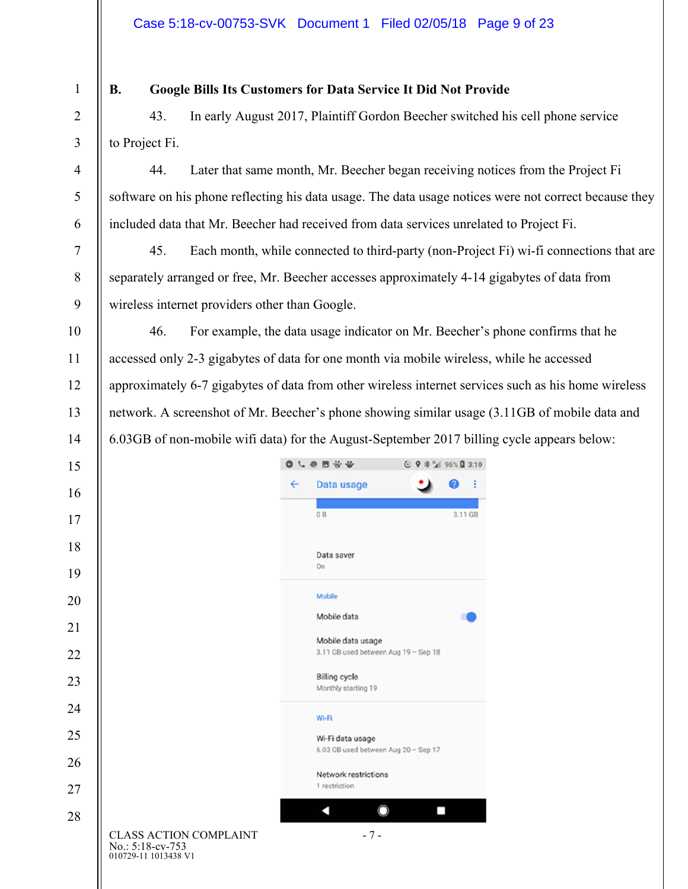010729-11 1013438 V1

No.: 5:18-cv-753

# **B. Google Bills Its Customers for Data Service It Did Not Provide**

43. In early August 2017, Plaintiff Gordon Beecher switched his cell phone service to Project Fi.

44. Later that same month, Mr. Beecher began receiving notices from the Project Fi software on his phone reflecting his data usage. The data usage notices were not correct because they included data that Mr. Beecher had received from data services unrelated to Project Fi.

45. Each month, while connected to third-party (non-Project Fi) wi-fi connections that are separately arranged or free, Mr. Beecher accesses approximately 4-14 gigabytes of data from wireless internet providers other than Google.

46. For example, the data usage indicator on Mr. Beecher's phone confirms that he accessed only 2-3 gigabytes of data for one month via mobile wireless, while he accessed approximately 6-7 gigabytes of data from other wireless internet services such as his home wireless network. A screenshot of Mr. Beecher's phone showing similar usage (3.11GB of mobile data and 6.03GB of non-mobile wifi data) for the August-September 2017 billing cycle appears below:

|                                                                           | 6.0880000    |                                      | © ♥ * 2 96% Q 3:10 |   |         |
|---------------------------------------------------------------------------|--------------|--------------------------------------|--------------------|---|---------|
|                                                                           | $\leftarrow$ | Data usage                           |                    | 0 | ÷       |
|                                                                           |              |                                      |                    |   |         |
|                                                                           |              | 0B                                   |                    |   | 3.11 GB |
|                                                                           |              | Data saver                           |                    |   |         |
|                                                                           |              | On                                   |                    |   |         |
|                                                                           |              | Mobile                               |                    |   |         |
|                                                                           |              | Mobile data                          |                    |   |         |
|                                                                           |              | Mobile data usage                    |                    |   |         |
|                                                                           |              | 3.11 GB used between Aug 19 - Sep 18 |                    |   |         |
|                                                                           |              | <b>Billing cycle</b>                 |                    |   |         |
|                                                                           |              | Monthly starting 19                  |                    |   |         |
|                                                                           |              | Wi-Fi                                |                    |   |         |
|                                                                           |              | Wi-Fi data usage                     |                    |   |         |
|                                                                           |              | 6.03 GB used between Aug 20 - Sep 17 |                    |   |         |
|                                                                           |              | Network restrictions                 |                    |   |         |
|                                                                           |              | 1 restriction                        |                    |   |         |
|                                                                           |              |                                      |                    |   |         |
| <b>CLASS ACTION COMPLAINT</b><br>$\text{No} \cdot 5.18 - \text{cv} - 753$ |              | $-7-$                                |                    |   |         |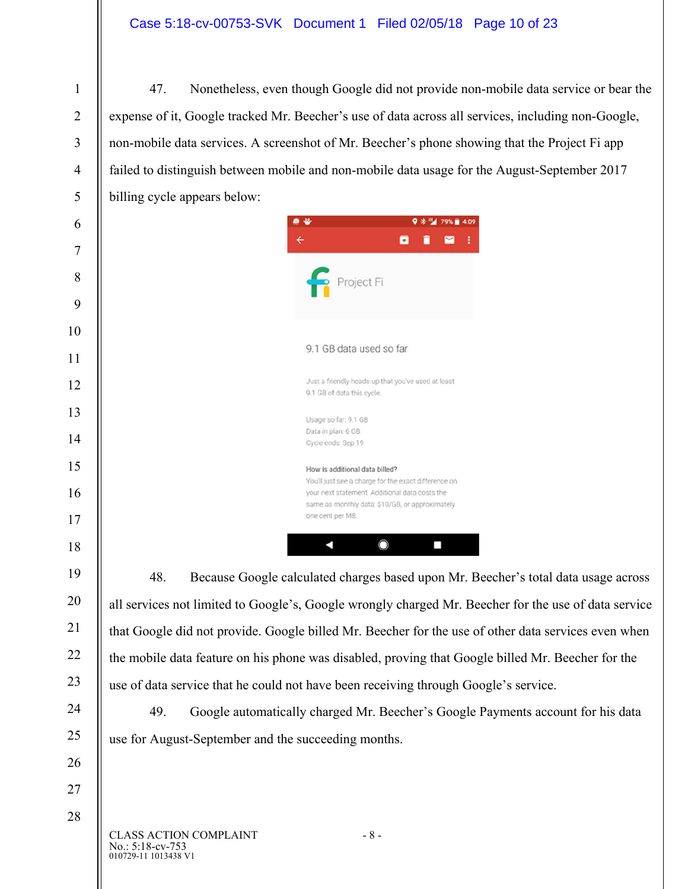## Case 5:18-cv-00753-SVK Document 1 Filed 02/05/18 Page 10 of 23

47. Nonetheless, even though Google did not provide non-mobile data service or bear the expense of it, Google tracked Mr. Beecher's use of data across all services, including non-Google, non-mobile data services. A screenshot of Mr. Beecher's phone showing that the Project Fi app failed to distinguish between mobile and non-mobile data usage for the August-September 2017 billing cycle appears below:



48. Because Google calculated charges based upon Mr. Beecher's total data usage across all services not limited to Google's, Google wrongly charged Mr. Beecher for the use of data service that Google did not provide. Google billed Mr. Beecher for the use of other data services even when the mobile data feature on his phone was disabled, proving that Google billed Mr. Beecher for the use of data service that he could not have been receiving through Google's service.

49. Google automatically charged Mr. Beecher's Google Payments account for his data use for August-September and the succeeding months.

010729-11 1013438 V1 CLASS ACTION COMPLAINT - 8 -No.: 5:18-cv-753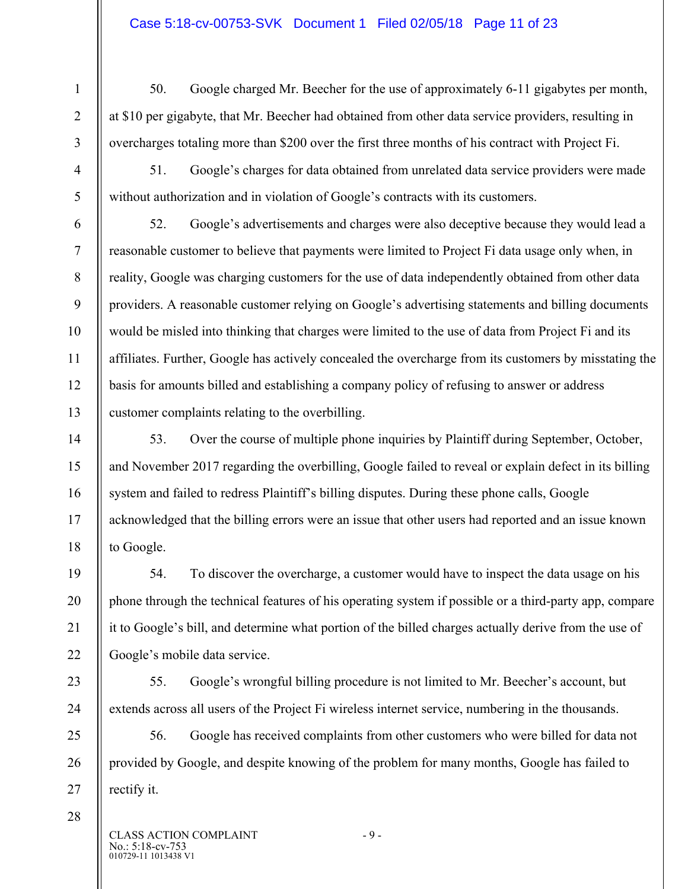#### Case 5:18-cv-00753-SVK Document 1 Filed 02/05/18 Page 11 of 23

9

10

11

12

13

14

15

16

17

18

19

20

21

22

23

24

50. Google charged Mr. Beecher for the use of approximately 6-11 gigabytes per month, at \$10 per gigabyte, that Mr. Beecher had obtained from other data service providers, resulting in overcharges totaling more than \$200 over the first three months of his contract with Project Fi.

51. Google's charges for data obtained from unrelated data service providers were made without authorization and in violation of Google's contracts with its customers.

52. Google's advertisements and charges were also deceptive because they would lead a reasonable customer to believe that payments were limited to Project Fi data usage only when, in reality, Google was charging customers for the use of data independently obtained from other data providers. A reasonable customer relying on Google's advertising statements and billing documents would be misled into thinking that charges were limited to the use of data from Project Fi and its affiliates. Further, Google has actively concealed the overcharge from its customers by misstating the basis for amounts billed and establishing a company policy of refusing to answer or address customer complaints relating to the overbilling.

53. Over the course of multiple phone inquiries by Plaintiff during September, October, and November 2017 regarding the overbilling, Google failed to reveal or explain defect in its billing system and failed to redress Plaintiff's billing disputes. During these phone calls, Google acknowledged that the billing errors were an issue that other users had reported and an issue known to Google.

54. To discover the overcharge, a customer would have to inspect the data usage on his phone through the technical features of his operating system if possible or a third-party app, compare it to Google's bill, and determine what portion of the billed charges actually derive from the use of Google's mobile data service.

55. Google's wrongful billing procedure is not limited to Mr. Beecher's account, but extends across all users of the Project Fi wireless internet service, numbering in the thousands.

25 26 27 56. Google has received complaints from other customers who were billed for data not provided by Google, and despite knowing of the problem for many months, Google has failed to rectify it.

28

010729-11 1013438 V1 CLASS ACTION COMPLAINT - 9 -No.: 5:18-cv-753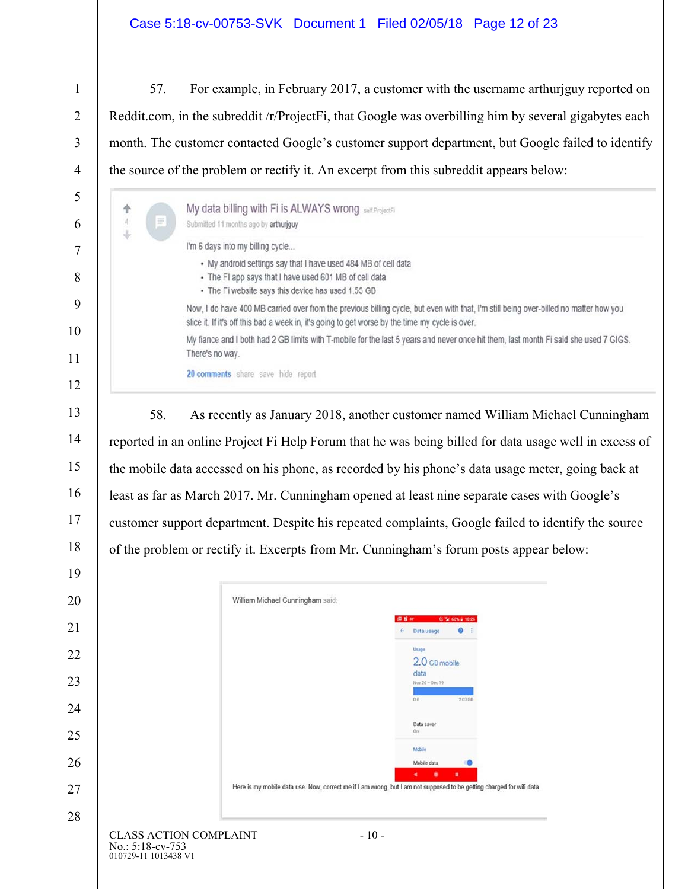### Case 5:18-cv-00753-SVK Document 1 Filed 02/05/18 Page 12 of 23

會生儿

57. For example, in February 2017, a customer with the username arthurjguy reported on Reddit.com, in the subreddit /r/ProjectFi, that Google was overbilling him by several gigabytes each month. The customer contacted Google's customer support department, but Google failed to identify the source of the problem or rectify it. An excerpt from this subreddit appears below:

I'm still being over-billed no matter how you

hit them, last month Fi said she used 7 GIGS.

| $\equiv$ | My data billing with Fi is ALWAYS wrong sell ProjectFi<br>Submitted 11 months ago by arthuriguy                                                                                            |  |  |
|----------|--------------------------------------------------------------------------------------------------------------------------------------------------------------------------------------------|--|--|
|          | I'm 6 days into my billing cycle                                                                                                                                                           |  |  |
|          | • My android settings say that I have used 484 MB of cell data<br>• The FI app says that I have used 601 MB of cell data<br>• The Fi website says this device has used 1.53 GB             |  |  |
|          | Now, I do have 400 MB carried over from the previous billing cycle, but even with that,<br>slice it. If it's off this bad a week in, it's going to get worse by the time my cycle is over. |  |  |
|          | My fiance and I both had 2 GB limits with T-mobile for the last 5 years and never once<br>There's no way.                                                                                  |  |  |

20 comments share save hide report

58. As recently as January 2018, another customer named William Michael Cunningham reported in an online Project Fi Help Forum that he was being billed for data usage well in excess of the mobile data accessed on his phone, as recorded by his phone's data usage meter, going back at least as far as March 2017. Mr. Cunningham opened at least nine separate cases with Google's customer support department. Despite his repeated complaints, Google failed to identify the source of the problem or rectify it. Excerpts from Mr. Cunningham's forum posts appear below:

| 20 | William Michael Cunningham said:                                                    |                                                                                                                                 |
|----|-------------------------------------------------------------------------------------|---------------------------------------------------------------------------------------------------------------------------------|
|    |                                                                                     | C % 63% @ 10:25<br>深度比                                                                                                          |
| 21 |                                                                                     | ø<br>Data usage<br>$\leftarrow$                                                                                                 |
| 22 |                                                                                     | Usage<br>2.0 GB mobile                                                                                                          |
| 23 |                                                                                     | data<br>Nov 20 - Dec 19                                                                                                         |
| 24 |                                                                                     | 2.03 GB<br>0B                                                                                                                   |
| 25 |                                                                                     | Data saver<br>On                                                                                                                |
| 26 |                                                                                     | Mobile<br>Mobile data                                                                                                           |
| 27 |                                                                                     | ٠<br>٠<br>Here is my mobile data use. Now, correct me if I am wrong, but I am not supposed to be getting charged for wifi data. |
| 28 |                                                                                     |                                                                                                                                 |
|    | <b>CLASS ACTION COMPLAINT</b><br>$-10-$<br>No.: 5:18-cv-753<br>010729-11 1013438 V1 |                                                                                                                                 |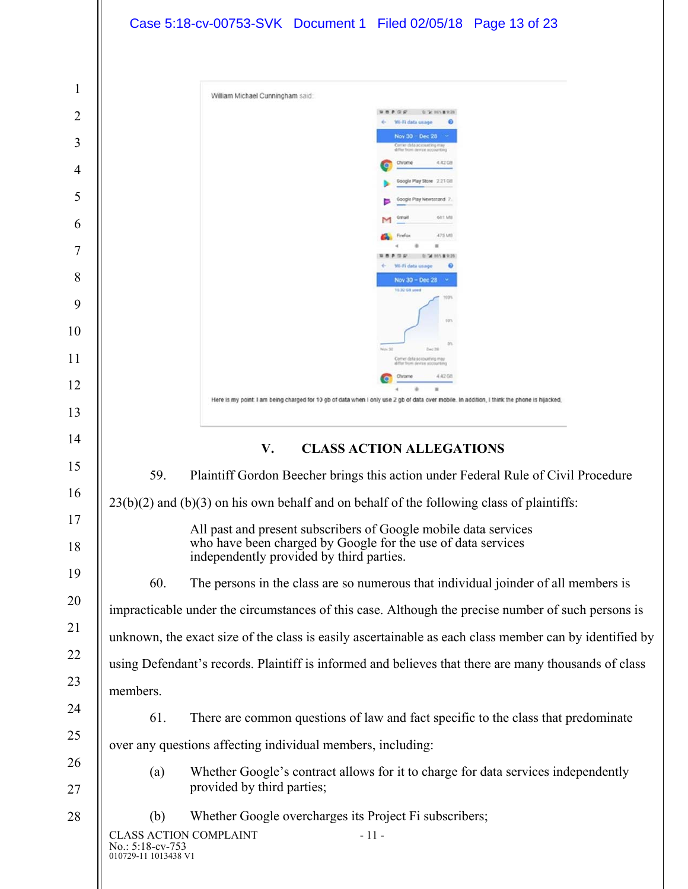|                | Case 5:18-cv-00753-SVK Document 1 Filed 02/05/18 Page 13 of 23                                                                               |
|----------------|----------------------------------------------------------------------------------------------------------------------------------------------|
|                |                                                                                                                                              |
| 1              | William Michael Cunningham said:                                                                                                             |
| $\overline{2}$ | 0720115189.20<br>P Q P<br>Wi-Fi data usage                                                                                                   |
| 3              | Nov 30 - Dec 28<br>differ from device accounting                                                                                             |
| 4              | 4.42 GB<br>Chrome<br>Google Play Store 2.21 Gill                                                                                             |
| 5              |                                                                                                                                              |
| 6              | 681 MB                                                                                                                                       |
| 7              | 475 MB<br>Firefox<br>"A 86% & 9:35                                                                                                           |
| 8              | Wi-Fi data usage<br>Nov 30 - Dec 28                                                                                                          |
| 9              | 10.32 GB used                                                                                                                                |
| 10             | 50%                                                                                                                                          |
| 11             | Nov 30<br>Comer deta accounting may<br>diffor from device socounting                                                                         |
| 12             | 4.42.08                                                                                                                                      |
| 13             | Here is my point: I am being charged for 10 gb of data when I only use 2 gb of data over mobile. In addition, I think the phone is hijacked, |
| 14             | <b>CLASS ACTION ALLEGATIONS</b><br>V.                                                                                                        |
| 15             | 59.<br>Plaintiff Gordon Beecher brings this action under Federal Rule of Civil Procedure                                                     |
| 16             | $23(b)(2)$ and $(b)(3)$ on his own behalf and on behalf of the following class of plaintiffs:                                                |
| 17             | All past and present subscribers of Google mobile data services                                                                              |
| 18             | who have been charged by Google for the use of data services<br>independently provided by third parties.                                     |
| 19             | 60.<br>The persons in the class are so numerous that individual joinder of all members is                                                    |
| 20             | impracticable under the circumstances of this case. Although the precise number of such persons is                                           |
| 21             | unknown, the exact size of the class is easily ascertainable as each class member can by identified by                                       |
| 22             | using Defendant's records. Plaintiff is informed and believes that there are many thousands of class                                         |
| 23             | members.                                                                                                                                     |
| 24             | 61.<br>There are common questions of law and fact specific to the class that predominate                                                     |
| 25             | over any questions affecting individual members, including:                                                                                  |
| 26<br>27       | Whether Google's contract allows for it to charge for data services independently<br>(a)<br>provided by third parties;                       |
| 28             | Whether Google overcharges its Project Fi subscribers;<br>(b)                                                                                |
|                | <b>CLASS ACTION COMPLAINT</b><br>$-11-$<br>No.: 5:18-cv-753<br>010729-11 1013438 V1                                                          |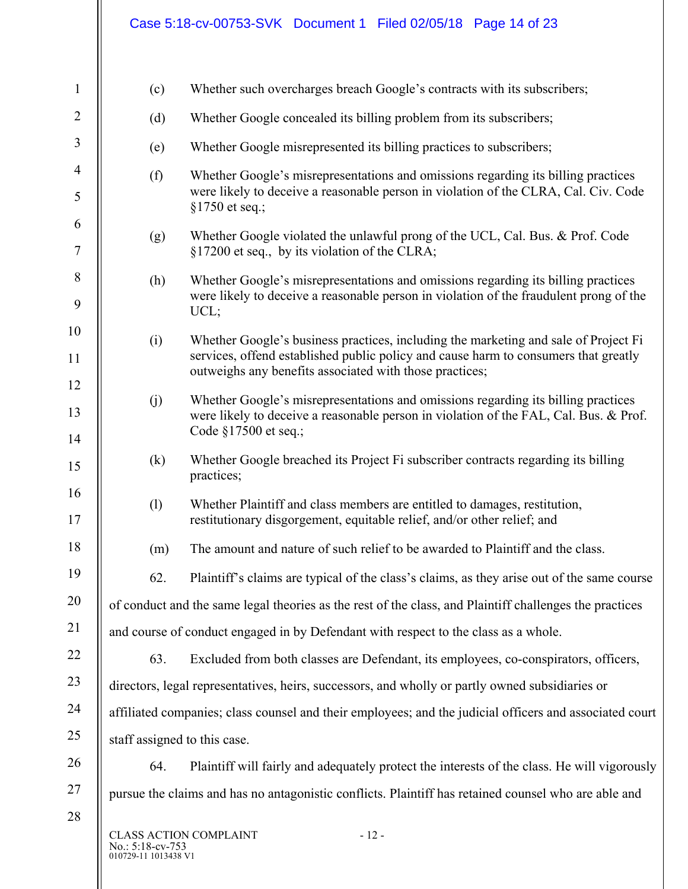|                  | Case 5:18-cv-00753-SVK Document 1 Filed 02/05/18 Page 14 of 23                                                                                                                                                                        |
|------------------|---------------------------------------------------------------------------------------------------------------------------------------------------------------------------------------------------------------------------------------|
| (c)              | Whether such overcharges breach Google's contracts with its subscribers;                                                                                                                                                              |
| (d)              | Whether Google concealed its billing problem from its subscribers;                                                                                                                                                                    |
| (e)              | Whether Google misrepresented its billing practices to subscribers;                                                                                                                                                                   |
| (f)              | Whether Google's misrepresentations and omissions regarding its billing practices<br>were likely to deceive a reasonable person in violation of the CLRA, Cal. Civ. Code<br>§1750 et seq.;                                            |
| (g)              | Whether Google violated the unlawful prong of the UCL, Cal. Bus. & Prof. Code<br>§17200 et seq., by its violation of the CLRA;                                                                                                        |
| (h)              | Whether Google's misrepresentations and omissions regarding its billing practices<br>were likely to deceive a reasonable person in violation of the fraudulent prong of the<br>UCL;                                                   |
| (i)              | Whether Google's business practices, including the marketing and sale of Project Fi<br>services, offend established public policy and cause harm to consumers that greatly<br>outweighs any benefits associated with those practices; |
| (j)              | Whether Google's misrepresentations and omissions regarding its billing practices<br>were likely to deceive a reasonable person in violation of the FAL, Cal. Bus. & Prof.<br>Code $§17500$ et seq.;                                  |
| (k)              | Whether Google breached its Project Fi subscriber contracts regarding its billing<br>practices;                                                                                                                                       |
| (1)              | Whether Plaintiff and class members are entitled to damages, restitution,<br>restitutionary disgorgement, equitable relief, and/or other relief; and                                                                                  |
| (m)              | The amount and nature of such relief to be awarded to Plaintiff and the class.                                                                                                                                                        |
| 62.              | Plaintiff's claims are typical of the class's claims, as they arise out of the same course                                                                                                                                            |
|                  | of conduct and the same legal theories as the rest of the class, and Plaintiff challenges the practices                                                                                                                               |
|                  | and course of conduct engaged in by Defendant with respect to the class as a whole.                                                                                                                                                   |
| 63.              | Excluded from both classes are Defendant, its employees, co-conspirators, officers,                                                                                                                                                   |
|                  | directors, legal representatives, heirs, successors, and wholly or partly owned subsidiaries or                                                                                                                                       |
|                  | affiliated companies; class counsel and their employees; and the judicial officers and associated court                                                                                                                               |
|                  | staff assigned to this case.                                                                                                                                                                                                          |
| 64.              | Plaintiff will fairly and adequately protect the interests of the class. He will vigorously                                                                                                                                           |
|                  | pursue the claims and has no antagonistic conflicts. Plaintiff has retained counsel who are able and                                                                                                                                  |
| No.: 5:18-cv-753 | CLASS ACTION COMPLAINT<br>$-12-$                                                                                                                                                                                                      |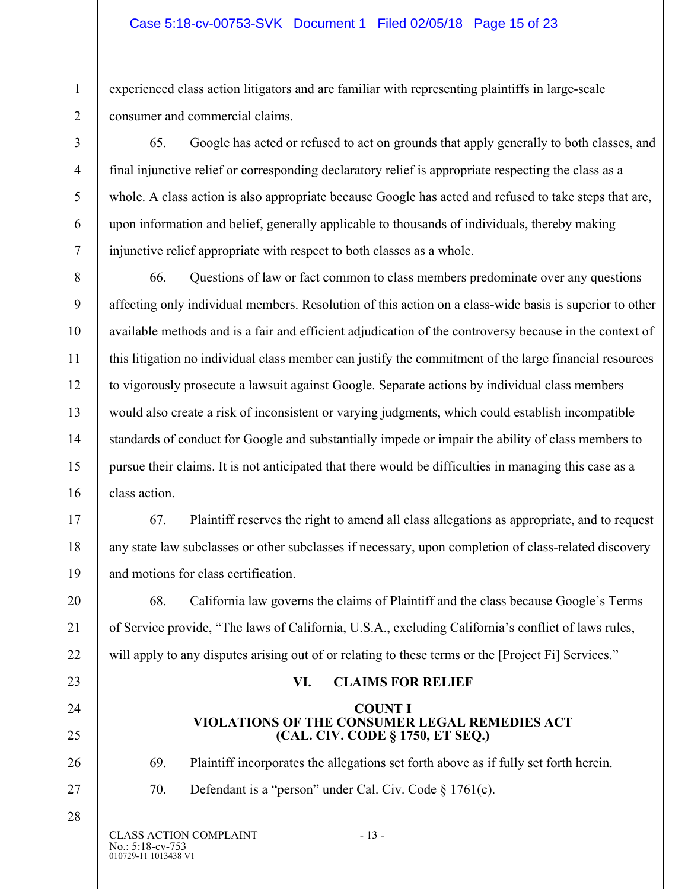#### Case 5:18-cv-00753-SVK Document 1 Filed 02/05/18 Page 15 of 23

experienced class action litigators and are familiar with representing plaintiffs in large-scale consumer and commercial claims.

65. Google has acted or refused to act on grounds that apply generally to both classes, and final injunctive relief or corresponding declaratory relief is appropriate respecting the class as a whole. A class action is also appropriate because Google has acted and refused to take steps that are, upon information and belief, generally applicable to thousands of individuals, thereby making injunctive relief appropriate with respect to both classes as a whole.

66. Questions of law or fact common to class members predominate over any questions affecting only individual members. Resolution of this action on a class-wide basis is superior to other available methods and is a fair and efficient adjudication of the controversy because in the context of this litigation no individual class member can justify the commitment of the large financial resources to vigorously prosecute a lawsuit against Google. Separate actions by individual class members would also create a risk of inconsistent or varying judgments, which could establish incompatible standards of conduct for Google and substantially impede or impair the ability of class members to pursue their claims. It is not anticipated that there would be difficulties in managing this case as a class action.

67. Plaintiff reserves the right to amend all class allegations as appropriate, and to request any state law subclasses or other subclasses if necessary, upon completion of class-related discovery and motions for class certification.

68. California law governs the claims of Plaintiff and the class because Google's Terms of Service provide, "The laws of California, U.S.A., excluding California's conflict of laws rules, will apply to any disputes arising out of or relating to these terms or the [Project Fi] Services."

### **VI. CLAIMS FOR RELIEF**

#### **COUNT I VIOLATIONS OF THE CONSUMER LEGAL REMEDIES ACT (CAL. CIV. CODE § 1750, ET SEQ.)**

69. Plaintiff incorporates the allegations set forth above as if fully set forth herein.

70. Defendant is a "person" under Cal. Civ. Code § 1761(c).

010729-11 1013438 V1 CLASS ACTION COMPLAINT - 13 -No.: 5:18-cv-753

1

2

3

4

5

6

7

8

9

10

11

12

13

14

15

16

17

18

19

20

21

22

23

24

25

26

27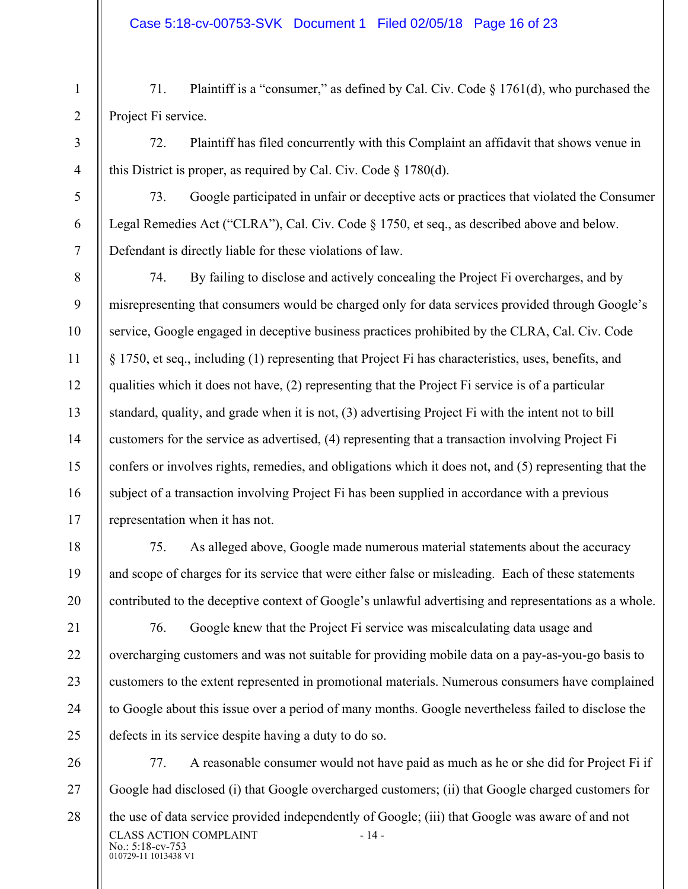2

3

4

5

6

7

8

9

10

11

12

13

14

15

16

17

18

19

20

21

22

23

24

25

71. Plaintiff is a "consumer," as defined by Cal. Civ. Code § 1761(d), who purchased the Project Fi service.

72. Plaintiff has filed concurrently with this Complaint an affidavit that shows venue in this District is proper, as required by Cal. Civ. Code  $\S$  1780(d).

73. Google participated in unfair or deceptive acts or practices that violated the Consumer Legal Remedies Act ("CLRA"), Cal. Civ. Code § 1750, et seq., as described above and below. Defendant is directly liable for these violations of law.

74. By failing to disclose and actively concealing the Project Fi overcharges, and by misrepresenting that consumers would be charged only for data services provided through Google's service, Google engaged in deceptive business practices prohibited by the CLRA, Cal. Civ. Code § 1750, et seq., including (1) representing that Project Fi has characteristics, uses, benefits, and qualities which it does not have, (2) representing that the Project Fi service is of a particular standard, quality, and grade when it is not, (3) advertising Project Fi with the intent not to bill customers for the service as advertised, (4) representing that a transaction involving Project Fi confers or involves rights, remedies, and obligations which it does not, and (5) representing that the subject of a transaction involving Project Fi has been supplied in accordance with a previous representation when it has not.

75. As alleged above, Google made numerous material statements about the accuracy and scope of charges for its service that were either false or misleading. Each of these statements contributed to the deceptive context of Google's unlawful advertising and representations as a whole.

76. Google knew that the Project Fi service was miscalculating data usage and overcharging customers and was not suitable for providing mobile data on a pay-as-you-go basis to customers to the extent represented in promotional materials. Numerous consumers have complained to Google about this issue over a period of many months. Google nevertheless failed to disclose the defects in its service despite having a duty to do so.

010729-11 1013438 V1 26 27 28 CLASS ACTION COMPLAINT - 14 -No.: 5:18-cv-753 77. A reasonable consumer would not have paid as much as he or she did for Project Fi if Google had disclosed (i) that Google overcharged customers; (ii) that Google charged customers for the use of data service provided independently of Google; (iii) that Google was aware of and not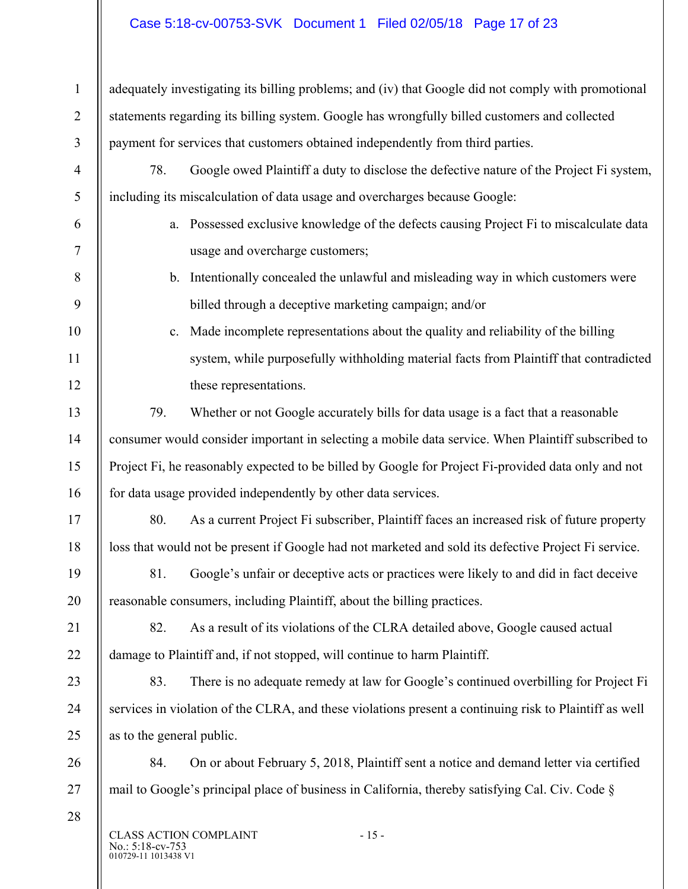# Case 5:18-cv-00753-SVK Document 1 Filed 02/05/18 Page 17 of 23

| 1              | adequately investigating its billing problems; and (iv) that Google did not comply with promotional    |                                                                                                      |  |
|----------------|--------------------------------------------------------------------------------------------------------|------------------------------------------------------------------------------------------------------|--|
| $\overline{2}$ | statements regarding its billing system. Google has wrongfully billed customers and collected          |                                                                                                      |  |
| $\overline{3}$ | payment for services that customers obtained independently from third parties.                         |                                                                                                      |  |
| $\overline{4}$ | 78.<br>Google owed Plaintiff a duty to disclose the defective nature of the Project Fi system,         |                                                                                                      |  |
| 5              |                                                                                                        | including its miscalculation of data usage and overcharges because Google:                           |  |
| 6              |                                                                                                        | a. Possessed exclusive knowledge of the defects causing Project Fi to miscalculate data              |  |
| $\tau$         |                                                                                                        | usage and overcharge customers;                                                                      |  |
| 8              |                                                                                                        | b. Intentionally concealed the unlawful and misleading way in which customers were                   |  |
| 9              |                                                                                                        | billed through a deceptive marketing campaign; and/or                                                |  |
| 10             | c.                                                                                                     | Made incomplete representations about the quality and reliability of the billing                     |  |
| 11             |                                                                                                        | system, while purposefully withholding material facts from Plaintiff that contradicted               |  |
| 12             |                                                                                                        | these representations.                                                                               |  |
| 13             | 79.                                                                                                    | Whether or not Google accurately bills for data usage is a fact that a reasonable                    |  |
| 14             | consumer would consider important in selecting a mobile data service. When Plaintiff subscribed to     |                                                                                                      |  |
| 15             | Project Fi, he reasonably expected to be billed by Google for Project Fi-provided data only and not    |                                                                                                      |  |
| 16             | for data usage provided independently by other data services.                                          |                                                                                                      |  |
| 17             | 80.                                                                                                    | As a current Project Fi subscriber, Plaintiff faces an increased risk of future property             |  |
| 18             |                                                                                                        | loss that would not be present if Google had not marketed and sold its defective Project Fi service. |  |
| 19             |                                                                                                        | 81. Google's unfair or deceptive acts or practices were likely to and did in fact deceive            |  |
| 20             | reasonable consumers, including Plaintiff, about the billing practices.                                |                                                                                                      |  |
| 21             | 82.                                                                                                    | As a result of its violations of the CLRA detailed above, Google caused actual                       |  |
| 22             | damage to Plaintiff and, if not stopped, will continue to harm Plaintiff.                              |                                                                                                      |  |
| 23             | 83.                                                                                                    | There is no adequate remedy at law for Google's continued overbilling for Project Fi                 |  |
| 24             | services in violation of the CLRA, and these violations present a continuing risk to Plaintiff as well |                                                                                                      |  |
| 25             | as to the general public.                                                                              |                                                                                                      |  |
| 26             | 84.                                                                                                    | On or about February 5, 2018, Plaintiff sent a notice and demand letter via certified                |  |
| 27             | mail to Google's principal place of business in California, thereby satisfying Cal. Civ. Code §        |                                                                                                      |  |
| 28             | No.: 5:18-cv-753<br>010729-11 1013438 V1                                                               | CLASS ACTION COMPLAINT<br>$-15-$                                                                     |  |

 $\parallel$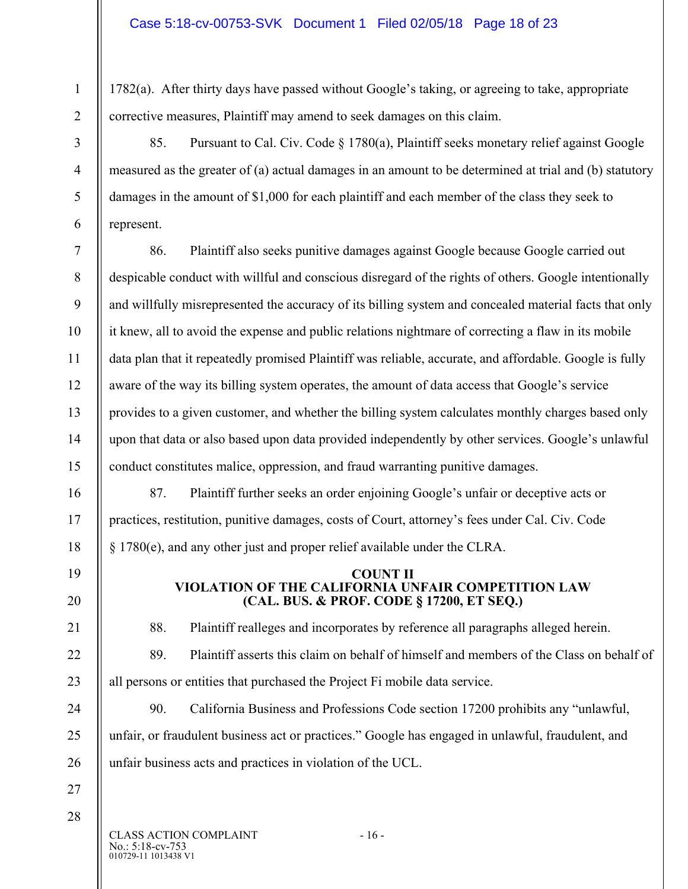1782(a). After thirty days have passed without Google's taking, or agreeing to take, appropriate corrective measures, Plaintiff may amend to seek damages on this claim.

85. Pursuant to Cal. Civ. Code § 1780(a), Plaintiff seeks monetary relief against Google measured as the greater of (a) actual damages in an amount to be determined at trial and (b) statutory damages in the amount of \$1,000 for each plaintiff and each member of the class they seek to represent.

86. Plaintiff also seeks punitive damages against Google because Google carried out despicable conduct with willful and conscious disregard of the rights of others. Google intentionally and willfully misrepresented the accuracy of its billing system and concealed material facts that only it knew, all to avoid the expense and public relations nightmare of correcting a flaw in its mobile data plan that it repeatedly promised Plaintiff was reliable, accurate, and affordable. Google is fully aware of the way its billing system operates, the amount of data access that Google's service provides to a given customer, and whether the billing system calculates monthly charges based only upon that data or also based upon data provided independently by other services. Google's unlawful conduct constitutes malice, oppression, and fraud warranting punitive damages.

87. Plaintiff further seeks an order enjoining Google's unfair or deceptive acts or practices, restitution, punitive damages, costs of Court, attorney's fees under Cal. Civ. Code § 1780(e), and any other just and proper relief available under the CLRA.

#### **COUNT II VIOLATION OF THE CALIFORNIA UNFAIR COMPETITION LAW (CAL. BUS. & PROF. CODE § 17200, ET SEQ.)**

1

2

3

4

5

6

7

8

9

10

11

12

13

14

15

16

17

18

19

20

21

22

23

24

25

26

88. Plaintiff realleges and incorporates by reference all paragraphs alleged herein.

89. Plaintiff asserts this claim on behalf of himself and members of the Class on behalf of all persons or entities that purchased the Project Fi mobile data service.

90. California Business and Professions Code section 17200 prohibits any "unlawful, unfair, or fraudulent business act or practices." Google has engaged in unlawful, fraudulent, and unfair business acts and practices in violation of the UCL.

27 28

> 010729-11 1013438 V1 CLASS ACTION COMPLAINT - 16 -No.: 5:18-cv-753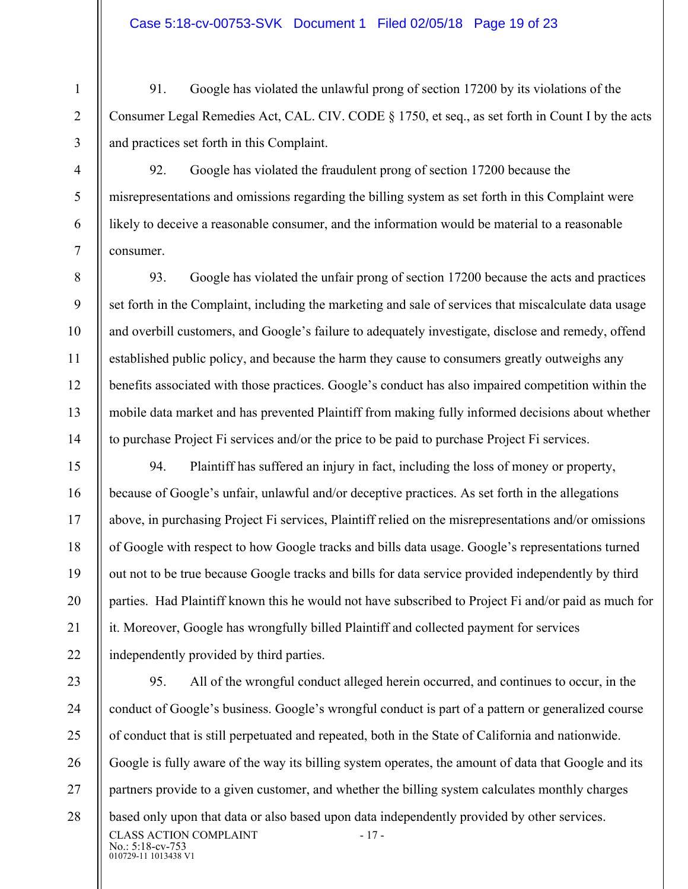2

3

4

5

6

7

8

9

10

11

12

13

14

15

16

17

18

19

20

21

22

91. Google has violated the unlawful prong of section 17200 by its violations of the Consumer Legal Remedies Act, CAL. CIV. CODE § 1750, et seq., as set forth in Count I by the acts and practices set forth in this Complaint.

92. Google has violated the fraudulent prong of section 17200 because the misrepresentations and omissions regarding the billing system as set forth in this Complaint were likely to deceive a reasonable consumer, and the information would be material to a reasonable consumer.

93. Google has violated the unfair prong of section 17200 because the acts and practices set forth in the Complaint, including the marketing and sale of services that miscalculate data usage and overbill customers, and Google's failure to adequately investigate, disclose and remedy, offend established public policy, and because the harm they cause to consumers greatly outweighs any benefits associated with those practices. Google's conduct has also impaired competition within the mobile data market and has prevented Plaintiff from making fully informed decisions about whether to purchase Project Fi services and/or the price to be paid to purchase Project Fi services.

94. Plaintiff has suffered an injury in fact, including the loss of money or property, because of Google's unfair, unlawful and/or deceptive practices. As set forth in the allegations above, in purchasing Project Fi services, Plaintiff relied on the misrepresentations and/or omissions of Google with respect to how Google tracks and bills data usage. Google's representations turned out not to be true because Google tracks and bills for data service provided independently by third parties. Had Plaintiff known this he would not have subscribed to Project Fi and/or paid as much for it. Moreover, Google has wrongfully billed Plaintiff and collected payment for services independently provided by third parties.

010729-11 1013438 V1 23 24 25 26 27 28 CLASS ACTION COMPLAINT - 17 -No.: 5:18-cv-753 95. All of the wrongful conduct alleged herein occurred, and continues to occur, in the conduct of Google's business. Google's wrongful conduct is part of a pattern or generalized course of conduct that is still perpetuated and repeated, both in the State of California and nationwide. Google is fully aware of the way its billing system operates, the amount of data that Google and its partners provide to a given customer, and whether the billing system calculates monthly charges based only upon that data or also based upon data independently provided by other services.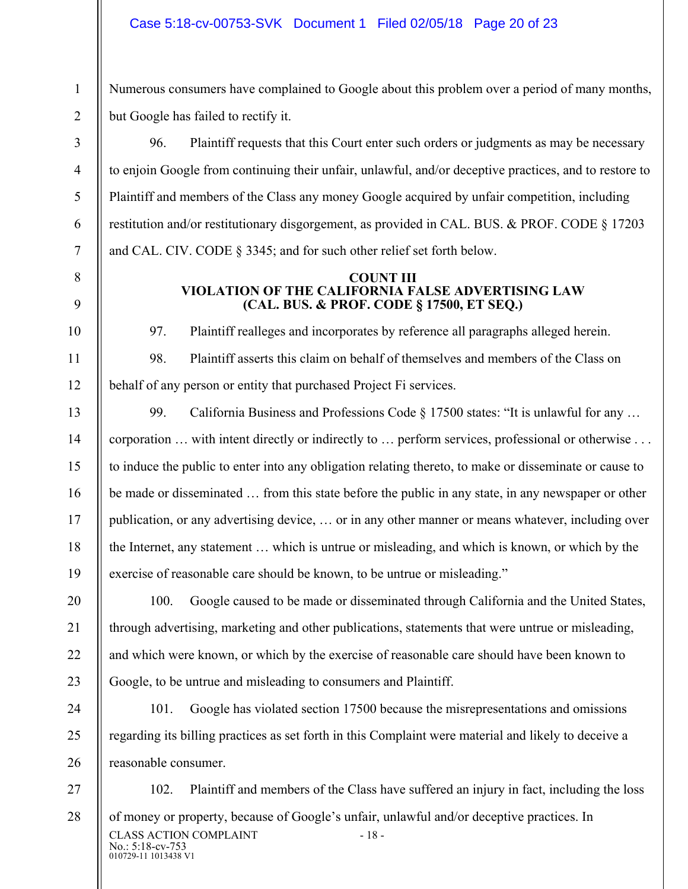2

3

4

5

6

7

8

9

10

11

12

13

14

15

16

17

18

19

20

21

22

23

24

25

26

Numerous consumers have complained to Google about this problem over a period of many months, but Google has failed to rectify it.

96. Plaintiff requests that this Court enter such orders or judgments as may be necessary to enjoin Google from continuing their unfair, unlawful, and/or deceptive practices, and to restore to Plaintiff and members of the Class any money Google acquired by unfair competition, including restitution and/or restitutionary disgorgement, as provided in CAL. BUS. & PROF. CODE § 17203 and CAL. CIV. CODE § 3345; and for such other relief set forth below.

#### **COUNT III VIOLATION OF THE CALIFORNIA FALSE ADVERTISING LAW (CAL. BUS. & PROF. CODE § 17500, ET SEQ.)**

97. Plaintiff realleges and incorporates by reference all paragraphs alleged herein.

98. Plaintiff asserts this claim on behalf of themselves and members of the Class on behalf of any person or entity that purchased Project Fi services.

99. California Business and Professions Code § 17500 states: "It is unlawful for any ... corporation … with intent directly or indirectly to … perform services, professional or otherwise . . . to induce the public to enter into any obligation relating thereto, to make or disseminate or cause to be made or disseminated … from this state before the public in any state, in any newspaper or other publication, or any advertising device, … or in any other manner or means whatever, including over the Internet, any statement … which is untrue or misleading, and which is known, or which by the exercise of reasonable care should be known, to be untrue or misleading."

100. Google caused to be made or disseminated through California and the United States, through advertising, marketing and other publications, statements that were untrue or misleading, and which were known, or which by the exercise of reasonable care should have been known to Google, to be untrue and misleading to consumers and Plaintiff.

101. Google has violated section 17500 because the misrepresentations and omissions regarding its billing practices as set forth in this Complaint were material and likely to deceive a reasonable consumer.

010729-11 1013438 V1 27 28 CLASS ACTION COMPLAINT - 18 -No.: 5:18-cv-753 102. Plaintiff and members of the Class have suffered an injury in fact, including the loss of money or property, because of Google's unfair, unlawful and/or deceptive practices. In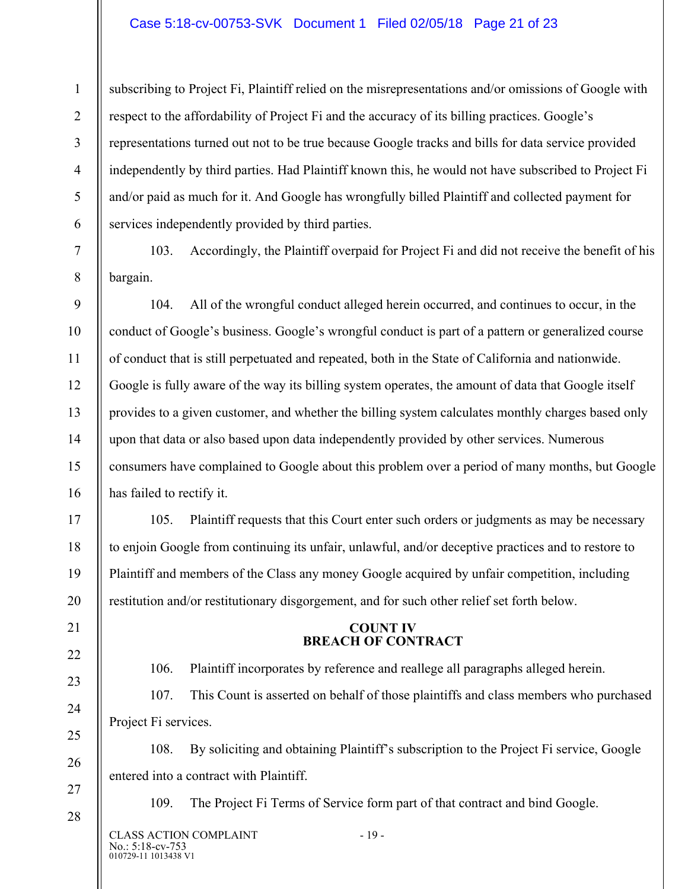#### Case 5:18-cv-00753-SVK Document 1 Filed 02/05/18 Page 21 of 23

subscribing to Project Fi, Plaintiff relied on the misrepresentations and/or omissions of Google with respect to the affordability of Project Fi and the accuracy of its billing practices. Google's representations turned out not to be true because Google tracks and bills for data service provided independently by third parties. Had Plaintiff known this, he would not have subscribed to Project Fi and/or paid as much for it. And Google has wrongfully billed Plaintiff and collected payment for services independently provided by third parties.

1

2

3

4

5

6

7

8

9

10

11

12

13

14

15

16

17

18

19

20

21

22

23

24

25

26

27

28

103. Accordingly, the Plaintiff overpaid for Project Fi and did not receive the benefit of his bargain.

104. All of the wrongful conduct alleged herein occurred, and continues to occur, in the conduct of Google's business. Google's wrongful conduct is part of a pattern or generalized course of conduct that is still perpetuated and repeated, both in the State of California and nationwide. Google is fully aware of the way its billing system operates, the amount of data that Google itself provides to a given customer, and whether the billing system calculates monthly charges based only upon that data or also based upon data independently provided by other services. Numerous consumers have complained to Google about this problem over a period of many months, but Google has failed to rectify it.

105. Plaintiff requests that this Court enter such orders or judgments as may be necessary to enjoin Google from continuing its unfair, unlawful, and/or deceptive practices and to restore to Plaintiff and members of the Class any money Google acquired by unfair competition, including restitution and/or restitutionary disgorgement, and for such other relief set forth below.

#### **COUNT IV BREACH OF CONTRACT**

106. Plaintiff incorporates by reference and reallege all paragraphs alleged herein.

107. This Count is asserted on behalf of those plaintiffs and class members who purchased Project Fi services.

108. By soliciting and obtaining Plaintiff's subscription to the Project Fi service, Google entered into a contract with Plaintiff.

109. The Project Fi Terms of Service form part of that contract and bind Google.

010729-11 1013438 V1 CLASS ACTION COMPLAINT - 19 -No.: 5:18-cv-753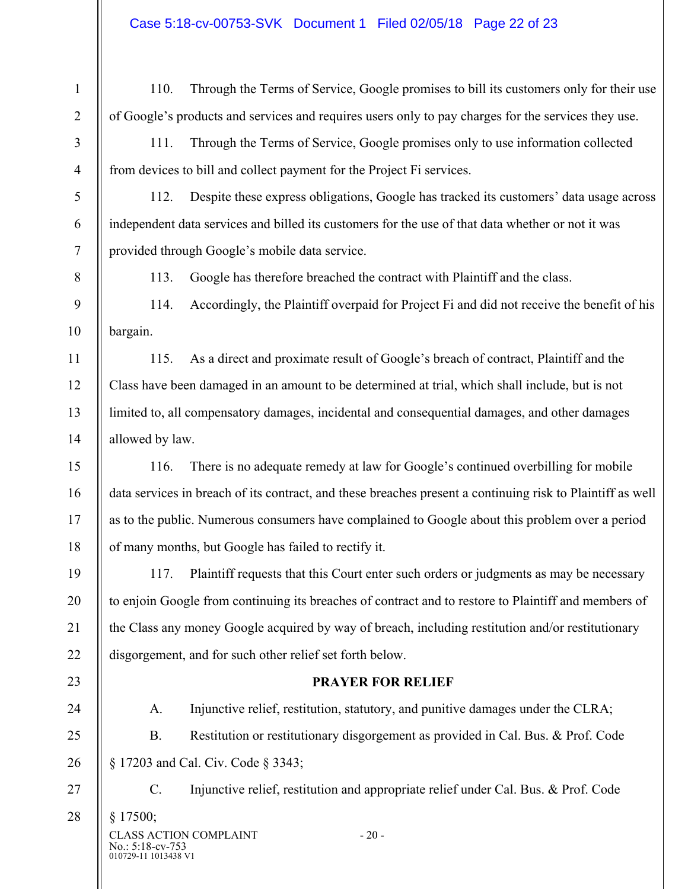# Case 5:18-cv-00753-SVK Document 1 Filed 02/05/18 Page 22 of 23

| $\mathbf{1}$     | 110.                                                                                                       | Through the Terms of Service, Google promises to bill its customers only for their use               |  |
|------------------|------------------------------------------------------------------------------------------------------------|------------------------------------------------------------------------------------------------------|--|
| $\overline{2}$   | of Google's products and services and requires users only to pay charges for the services they use.        |                                                                                                      |  |
| $\mathfrak{Z}$   | Through the Terms of Service, Google promises only to use information collected<br>111.                    |                                                                                                      |  |
| $\overline{4}$   |                                                                                                            | from devices to bill and collect payment for the Project Fi services.                                |  |
| $\mathfrak{S}$   | 112.                                                                                                       | Despite these express obligations, Google has tracked its customers' data usage across               |  |
| 6                |                                                                                                            | independent data services and billed its customers for the use of that data whether or not it was    |  |
| $\tau$           |                                                                                                            | provided through Google's mobile data service.                                                       |  |
| $\, 8$           | 113.                                                                                                       | Google has therefore breached the contract with Plaintiff and the class.                             |  |
| $\boldsymbol{9}$ | 114.                                                                                                       | Accordingly, the Plaintiff overpaid for Project Fi and did not receive the benefit of his            |  |
| 10               | bargain.                                                                                                   |                                                                                                      |  |
| 11               | 115.                                                                                                       | As a direct and proximate result of Google's breach of contract, Plaintiff and the                   |  |
| 12               | Class have been damaged in an amount to be determined at trial, which shall include, but is not            |                                                                                                      |  |
| 13               | limited to, all compensatory damages, incidental and consequential damages, and other damages              |                                                                                                      |  |
| 14               | allowed by law.                                                                                            |                                                                                                      |  |
| 15               | 116.                                                                                                       | There is no adequate remedy at law for Google's continued overbilling for mobile                     |  |
| 16               | data services in breach of its contract, and these breaches present a continuing risk to Plaintiff as well |                                                                                                      |  |
| 17               | as to the public. Numerous consumers have complained to Google about this problem over a period            |                                                                                                      |  |
| 18               | of many months, but Google has failed to rectify it.                                                       |                                                                                                      |  |
| 19               | 117.                                                                                                       | Plaintiff requests that this Court enter such orders or judgments as may be necessary                |  |
| 20               |                                                                                                            | to enjoin Google from continuing its breaches of contract and to restore to Plaintiff and members of |  |
| 21               | the Class any money Google acquired by way of breach, including restitution and/or restitutionary          |                                                                                                      |  |
| 22               | disgorgement, and for such other relief set forth below.                                                   |                                                                                                      |  |
| 23               | <b>PRAYER FOR RELIEF</b>                                                                                   |                                                                                                      |  |
| 24               | A.                                                                                                         | Injunctive relief, restitution, statutory, and punitive damages under the CLRA;                      |  |
| 25               | <b>B.</b>                                                                                                  | Restitution or restitutionary disgorgement as provided in Cal. Bus. & Prof. Code                     |  |
| 26               |                                                                                                            | § 17203 and Cal. Civ. Code § 3343;                                                                   |  |
| 27               | $C$ .                                                                                                      | Injunctive relief, restitution and appropriate relief under Cal. Bus. & Prof. Code                   |  |
| 28               | § 17500;                                                                                                   |                                                                                                      |  |
|                  | No.: 5:18-cv-753                                                                                           | <b>CLASS ACTION COMPLAINT</b><br>$-20-$                                                              |  |